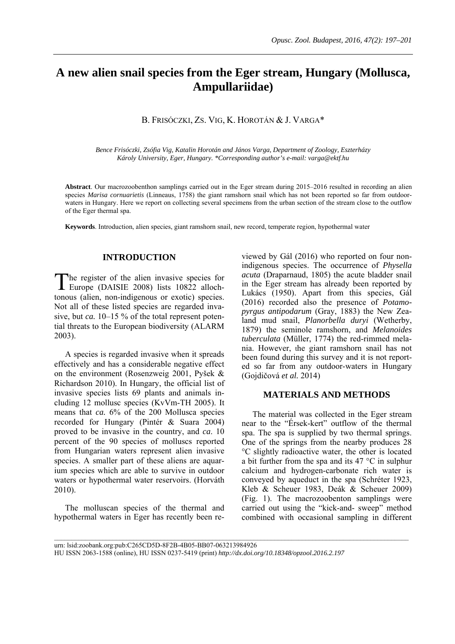# **A new alien snail species from the Eger stream, Hungary (Mollusca, Ampullariidae)**

B. FRISÓCZKI, ZS. VIG, K. HOROTÁN & J. VARGA\*

*Bence Frisóczki, Zsófia Vig, Katalin Horotán and János Varga, Department of Zoology, Eszterházy Károly University, Eger, Hungary. \*Corresponding author's e-mail: varga@ektf.hu* 

**Abstract**. Our macrozoobenthon samplings carried out in the Eger stream during 2015–2016 resulted in recording an alien species *Marisa cornuarietis* (Linneaus, 1758) the giant ramshorn snail which has not been reported so far from outdoorwaters in Hungary. Here we report on collecting several specimens from the urban section of the stream close to the outflow of the Eger thermal spa.

**Keywords**. Introduction, alien species, giant ramshorn snail, new record, temperate region, hypothermal water

### **INTRODUCTION**

he register of the alien invasive species for The register of the alien invasive species for<br>Europe (DAISIE 2008) lists 10822 allochtonous (alien, non-indigenous or exotic) species. Not all of these listed species are regarded invasive, but *ca*. 10–15 % of the total represent potential threats to the European biodiversity (ALARM 2003).

A species is regarded invasive when it spreads effectively and has a considerable negative effect on the environment (Rosenzweig 2001, Pyšek & Richardson 2010). In Hungary, the official list of invasive species lists 69 plants and animals including 12 mollusc species (KvVm-TH 2005). It means that *ca.* 6% of the 200 Mollusca species recorded for Hungary (Pintér & Suara 2004) proved to be invasive in the country, and *ca*. 10 percent of the 90 species of molluscs reported from Hungarian waters represent alien invasive species. A smaller part of these aliens are aquarium species which are able to survive in outdoor waters or hypothermal water reservoirs. (Horváth 2010).

The molluscan species of the thermal and hypothermal waters in Eger has recently been reviewed by Gál (2016) who reported on four nonindigenous species. The occurrence of *Physella acuta* (Draparnaud, 1805) the acute bladder snail in the Eger stream has already been reported by Lukács (1950). Apart from this species, Gál (2016) recorded also the presence of *Potamopyrgus antipodarum* (Gray, 1883) the New Zealand mud snail, *Planorbella duryi* (Wetherby, 1879) the seminole ramshorn, and *Melanoides tuberculata* (Müller, 1774) the red-rimmed melania. However, the giant ramshorn snail has not been found during this survey and it is not reported so far from any outdoor-waters in Hungary (Gojdičová *et al.* 2014)

#### **MATERIALS AND METHODS**

The material was collected in the Eger stream near to the "Érsek-kert" outflow of the thermal spa. The spa is supplied by two thermal springs. One of the springs from the nearby produces 28 °C slightly radioactive water, the other is located a bit further from the spa and its 47 °C in sulphur calcium and hydrogen-carbonate rich water is conveyed by aqueduct in the spa (Schréter 1923, Kleb & Scheuer 1983, Deák & Scheuer 2009) (Fig. 1). The macrozoobenton samplings were carried out using the "kick-and- sweep" method combined with occasional sampling in different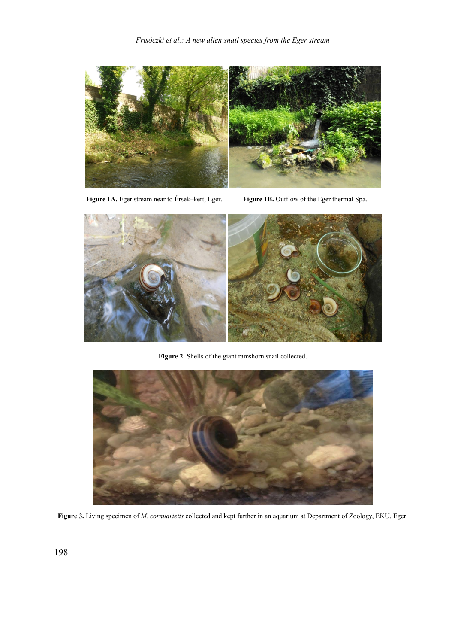

 **Figure 1A.** Eger stream near to Érsek–kert, Eger. **Figure 1B.** Outflow of the Eger thermal Spa.



**Figure 2.** Shells of the giant ramshorn snail collected.



**Figure 3.** Living specimen of *M. cornuarietis* collected and kept further in an aquarium at Department of Zoology, EKU, Eger.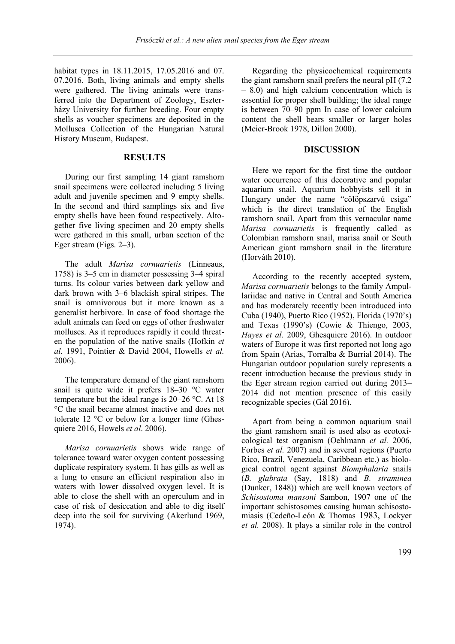habitat types in 18.11.2015, 17.05.2016 and 07. 07.2016. Both, living animals and empty shells were gathered. The living animals were transferred into the Department of Zoology, Eszterházy University for further breeding. Four empty shells as voucher specimens are deposited in the Mollusca Collection of the Hungarian Natural History Museum, Budapest.

## **RESULTS**

During our first sampling 14 giant ramshorn snail specimens were collected including 5 living adult and juvenile specimen and 9 empty shells. In the second and third samplings six and five empty shells have been found respectively. Altogether five living specimen and 20 empty shells were gathered in this small, urban section of the Eger stream (Figs. 2–3).

The adult *Marisa cornuarietis* (Linneaus, 1758) is 3–5 cm in diameter possessing 3–4 spiral turns. Its colour varies between dark yellow and dark brown with 3–6 blackish spiral stripes. The snail is omnivorous but it more known as a generalist herbivore. In case of food shortage the adult animals can feed on eggs of other freshwater molluscs. As it reproduces rapidly it could threaten the population of the native snails (Hofkin *et al.* 1991, Pointier & David 2004, Howells *et al.*  2006).

The temperature demand of the giant ramshorn snail is quite wide it prefers 18–30 °C water temperature but the ideal range is 20–26 °C. At 18 °C the snail became almost inactive and does not tolerate 12 °C or below for a longer time (Ghesquiere 2016, Howels *et al*. 2006).

*Marisa cornuarietis* shows wide range of tolerance toward water oxygen content possessing duplicate respiratory system. It has gills as well as a lung to ensure an efficient respiration also in waters with lower dissolved oxygen level. It is able to close the shell with an operculum and in case of risk of desiccation and able to dig itself deep into the soil for surviving (Akerlund 1969, 1974).

Regarding the physicochemical requirements the giant ramshorn snail prefers the neural pH (7.2 – 8.0) and high calcium concentration which is essential for proper shell building; the ideal range is between 70–90 ppm In case of lower calcium content the shell bears smaller or larger holes (Meier-Brook 1978, Dillon 2000).

#### **DISCUSSION**

Here we report for the first time the outdoor water occurrence of this decorative and popular aquarium snail. Aquarium hobbyists sell it in Hungary under the name "cölöpszarvú csiga" which is the direct translation of the English ramshorn snail. Apart from this vernacular name *Marisa cornuarietis* is frequently called as Colombian ramshorn snail, marisa snail or South American giant ramshorn snail in the literature (Horváth 2010).

According to the recently accepted system, *Marisa cornuarietis* belongs to the family Ampullariidae and native in Central and South America and has moderately recently been introduced into Cuba (1940), Puerto Rico (1952), Florida (1970's) and Texas (1990's) (Cowie & Thiengo, 2003, *Hayes et al.* 2009, Ghesquiere 2016). In outdoor waters of Europe it was first reported not long ago from Spain (Arias, Torralba & Burrial 2014). The Hungarian outdoor population surely represents a recent introduction because the previous study in the Eger stream region carried out during 2013– 2014 did not mention presence of this easily recognizable species (Gál 2016).

Apart from being a common aquarium snail the giant ramshorn snail is used also as ecotoxicological test organism (Oehlmann *et al.* 2006, Forbes *et al.* 2007) and in several regions (Puerto Rico, Brazil, Venezuela, Caribbean etc.) as biological control agent against *Biomphalaria* snails (*B. glabrata* (Say, 1818) and *B. straminea*  (Dunker, 1848)) which are well known vectors of *Schisostoma mansoni* Sambon, 1907 one of the important schistosomes causing human schisostomiasis (Cedeño-León & Thomas 1983, Lockyer *et al.* 2008). It plays a similar role in the control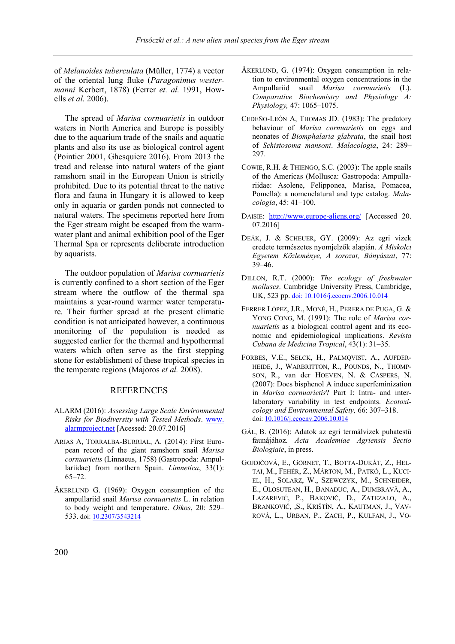of *Melanoides tuberculata* (Müller, 1774) a vector of the oriental lung fluke (*Paragonimus westermanni* Kerbert, 1878) (Ferrer *et. al.* 1991, Howells *et al.* 2006).

The spread of *Marisa cornuarietis* in outdoor waters in North America and Europe is possibly due to the aquarium trade of the snails and aquatic plants and also its use as biological control agent (Pointier 2001, Ghesquiere 2016). From 2013 the tread and release into natural waters of the giant ramshorn snail in the European Union is strictly prohibited. Due to its potential threat to the native flora and fauna in Hungary it is allowed to keep only in aquaria or garden ponds not connected to natural waters. The specimens reported here from the Eger stream might be escaped from the warmwater plant and animal exhibition pool of the Eger Thermal Spa or represents deliberate introduction by aquarists.

The outdoor population of *Marisa cornuarietis*  is currently confined to a short section of the Eger stream where the outflow of the thermal spa maintains a year-round warmer water temperature. Their further spread at the present climatic condition is not anticipated however, a continuous monitoring of the population is needed as suggested earlier for the thermal and hypothermal waters which often serve as the first stepping stone for establishment of these tropical species in the temperate regions (Majoros *et al.* 2008).

## **REFERENCES**

- ALARM (2016): *Assessing Large Scale Environmental Risks for Biodiversity with Tested Methods*. [www.](http://www.alarmproject.net/)  [alarmproject.net](http://www.alarmproject.net/) [Acessed: 20.07.2016]
- ARIAS A, TORRALBA-BURRIAL, A. (2014): First European record of the giant ramshorn snail *Marisa cornuarietis* (Linnaeus, 1758) (Gastropoda: Ampullariidae) from northern Spain. *Limnetica*, 33(1): 65–72.
- ÅKERLUND G. (1969): Oxygen consumption of the ampullariid snail *Marisa cornuarietis* L. in relation to body weight and temperature. *Oikos*, 20: 529– 533. [doi: 10.2307/3543214](http://dx.doi.org/10.2307/3543214)
- ÅKERLUND, G. (1974): Oxygen consumption in relation to environmental oxygen concentrations in the Ampullariid snail *Marisa cornuarietis* (L). *Comparative Biochemistry and Physiology A: Physiology,* 47: 1065–1075.
- CEDEÑO-LEÓN A, THOMAS JD. (1983): The predatory behaviour of *Marisa cornuarietis* on eggs and neonates of *Biomphalaria glabrata*, the snail host of *Schistosoma mansoni*. *Malacologia*, 24: 289– 297.
- COWIE, R.H. & THIENGO, S.C. (2003): The apple snails of the Americas (Mollusca: Gastropoda: Ampullariidae: Asolene, Felipponea, Marisa, Pomacea, Pomella): a nomenclatural and type catalog. *Malacologia*, 45: 41–100.
- DAISIE: <http://www.europe-aliens.org/> [Accessed 20. 07.2016]
- DEÁK, J. & SCHEUER, GY. (2009): Az egri vizek eredete természetes nyomjelzők alapján. *A Miskolci Egyetem Közleménye, A sorozat, Bányászat*, 77: 39–46.
- DILLON, R.T. (2000): *The ecology of freshwater molluscs*. Cambridge University Press, Cambridge, UK, 523 pp. [doi: 10.1016/j.ecoenv.2006.10.014](http://dx.doi.org/10.1016/j.ecoenv.2006.10.014)
- FERRER LÓPEZ, J.R., MONÉ, H., PERERA DE PUGA, G. & YONG CONG, M. (1991): The role of *Marisa cornuarietis* as a biological control agent and its economic and epidemiological implications. *Revista Cubana de Medicina Tropical*, 43(1): 31–35.
- FORBES, V.E., SELCK, H., PALMQVIST, A., AUFDER-HEIDE, J., WARBRITTON, R., POUNDS, N., THOMP-SON, R., van der HOEVEN, N. & CASPERS, N. (2007): Does bisphenol A induce superfeminization in *Marisa cornuarietis*? Part I: Intra- and interlaboratory variability in test endpoints. *Ecotoxicology and Environmental Safety,* 66: 307–318. doi[: 10.1016/j.ecoenv.2006.10.014](http://dx.doi.org/10.1016/j.ecoenv.2006.10.014)
- GÁL, B. (2016): Adatok az egri termálvizek puhatestű faunájához. *Acta Academiae Agriensis Sectio Biologiaie*, in press.
- GOJDIČOVÁ, E., GÖRNET, T., BOTTA-DUKÁT, Z., HEL-TAI, M., FEHÉR, Z., MÁRTON, M., PATKÓ, L., KUCI-EL, H., SOLARZ, W., SZEWCZYK, M., SCHNEIDER, E., OLOSUTEAN, H., BANADUC, A., DUMBRAVÃ, A., LAZAREVIĆ, P., BAKOVIČ, D., ZATEZALO, A., BRANKOVIČ, ,S., KRIŠTÍN, A., KAUTMAN, J., VAV-ROVÁ, L., URBAN, P., ZACH, P., KULFAN, J., VO-